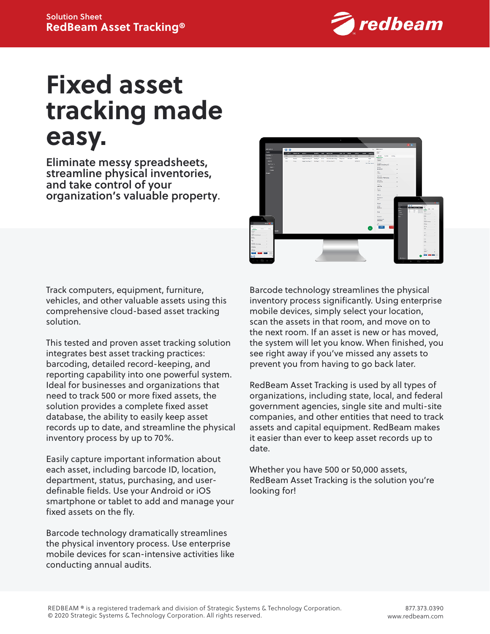

# **Fixed asset tracking made easy.**

Eliminate messy spreadsheets, streamline physical inventories, and take control of your organization's valuable property.



Track computers, equipment, furniture, vehicles, and other valuable assets using this comprehensive cloud-based asset tracking solution.

This tested and proven asset tracking solution integrates best asset tracking practices: barcoding, detailed record-keeping, and reporting capability into one powerful system. Ideal for businesses and organizations that need to track 500 or more fixed assets, the solution provides a complete fixed asset database, the ability to easily keep asset records up to date, and streamline the physical inventory process by up to 70%.

Easily capture important information about each asset, including barcode ID, location, department, status, purchasing, and userdefinable fields. Use your Android or iOS smartphone or tablet to add and manage your fixed assets on the fly.

Barcode technology dramatically streamlines the physical inventory process. Use enterprise mobile devices for scan-intensive activities like conducting annual audits.

Barcode technology streamlines the physical inventory process significantly. Using enterprise mobile devices, simply select your location, scan the assets in that room, and move on to the next room. If an asset is new or has moved, the system will let you know. When finished, you see right away if you've missed any assets to prevent you from having to go back later.

RedBeam Asset Tracking is used by all types of organizations, including state, local, and federal government agencies, single site and multi-site companies, and other entities that need to track assets and capital equipment. RedBeam makes it easier than ever to keep asset records up to date.

Whether you have 500 or 50,000 assets, RedBeam Asset Tracking is the solution you're looking for!